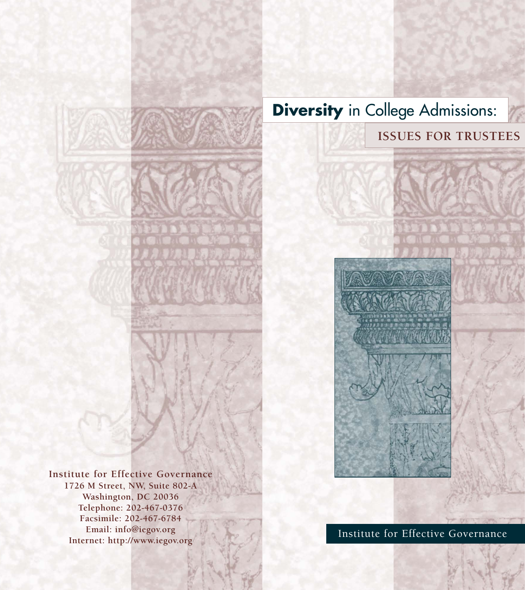# **Diversity** in College Admissions:

**ISSUES FOR TRUSTEES**



**Institute for Effective Governance 1726 M Street, NW, Suite 802-A Washington, DC 20036 Telephone: 202-467-0376 Facsimile: 202-467-6784 Email: info@iegov.org Internet: http://www.iegov.org**

Institute for Effective Governance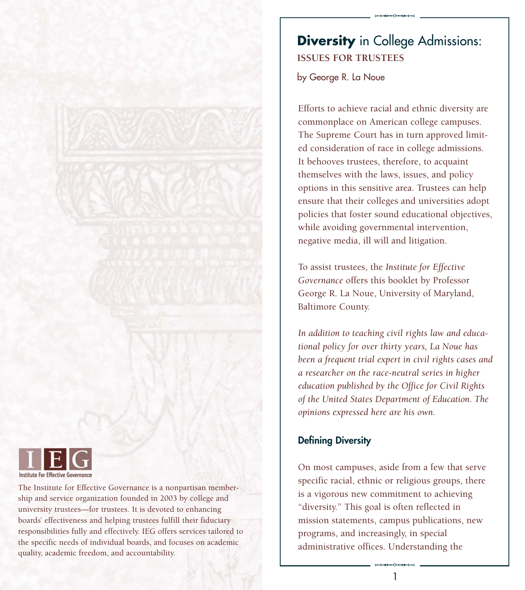

The Institute for Effective Governance is a nonpartisan membership and service organization founded in 2003 by college and university trustees—for trustees. It is devoted to enhancing boards' effectiveness and helping trustees fulfill their fiduciary responsibilities fully and effectively. IEG offers services tailored to the specific needs of individual boards, and focuses on academic quality, academic freedom, and accountability.

# **Diversity** in College Admissions: **ISSUES FOR TRUSTEES**

 $*$ 

by George R. La Noue

Efforts to achieve racial and ethnic diversity are commonplace on American college campuses. The Supreme Court has in turn approved limited consideration of race in college admissions. It behooves trustees, therefore, to acquaint themselves with the laws, issues, and policy options in this sensitive area. Trustees can help ensure that their colleges and universities adopt policies that foster sound educational objectives, while avoiding governmental intervention, negative media, ill will and litigation.

To assist trustees, the *Institute for Effective Governance* offers this booklet by Professor George R. La Noue, University of Maryland, Baltimore County.

*In addition to teaching civil rights law and educational policy for over thirty years, La Noue has been a frequent trial expert in civil rights cases and a researcher on the race-neutral series in higher education published by the Office for Civil Rights of the United States Department of Education. The opinions expressed here are his own.* 

# **Defining Diversity**

administrative offices. Understanding the On most campuses, aside from a few that serve specific racial, ethnic or religious groups, there is a vigorous new commitment to achieving "diversity." This goal is often reflected in mission statements, campus publications, new programs, and increasingly, in special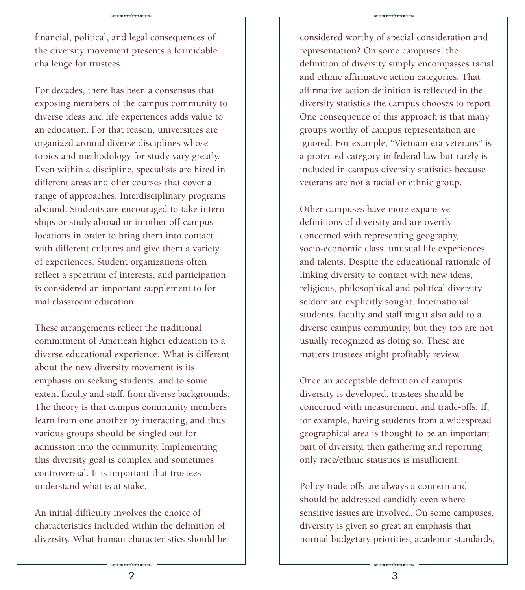financial, political, and legal consequences of the diversity movement presents a formidable challenge for trustees.

 $*$ 

For decades, there has been a consensus that exposing members of the campus community to diverse ideas and life experiences adds value to an education. For that reason, universities are organized around diverse disciplines whose topics and methodology for study vary greatly. Even within a discipline, specialists are hired in different areas and offer courses that cover a range of approaches. Interdisciplinary programs abound. Students are encouraged to take internships or study abroad or in other off-campus locations in order to bring them into contact with different cultures and give them a variety of experiences. Student organizations often reflect a spectrum of interests, and participation is considered an important supplement to formal classroom education.

These arrangements reflect the traditional commitment of American higher education to a diverse educational experience. What is different about the new diversity movement is its emphasis on seeking students, and to some extent faculty and staff, from diverse backgrounds. The theory is that campus community members learn from one another by interacting, and thus various groups should be singled out for admission into the community. Implementing this diversity goal is complex and sometimes controversial. It is important that trustees understand what is at stake.

 $\frac{2}{2}$ An initial difficulty involves the choice of characteristics included within the definition of diversity. What human characteristics should be considered worthy of special consideration and representation? On some campuses, the definition of diversity simply encompasses racial and ethnic affirmative action categories. That affirmative action definition is reflected in the diversity statistics the campus chooses to report. One consequence of this approach is that many groups worthy of campus representation are ignored. For example, "Vietnam-era veterans" is a protected category in federal law but rarely is included in campus diversity statistics because veterans are not a racial or ethnic group.

 $*$ 

Other campuses have more expansive definitions of diversity and are overtly concerned with representing geography, socio-economic class, unusual life experiences and talents. Despite the educational rationale of linking diversity to contact with new ideas, religious, philosophical and political diversity seldom are explicitly sought. International students, faculty and staff might also add to a diverse campus community, but they too are not usually recognized as doing so. These are matters trustees might profitably review.

Once an acceptable definition of campus diversity is developed, trustees should be concerned with measurement and trade-offs. If, for example, having students from a widespread geographical area is thought to be an important part of diversity, then gathering and reporting only race/ethnic statistics is insufficient.

 $rac{5}{3}$ Policy trade-offs are always a concern and should be addressed candidly even where sensitive issues are involved. On some campuses, diversity is given so great an emphasis that normal budgetary priorities, academic standards,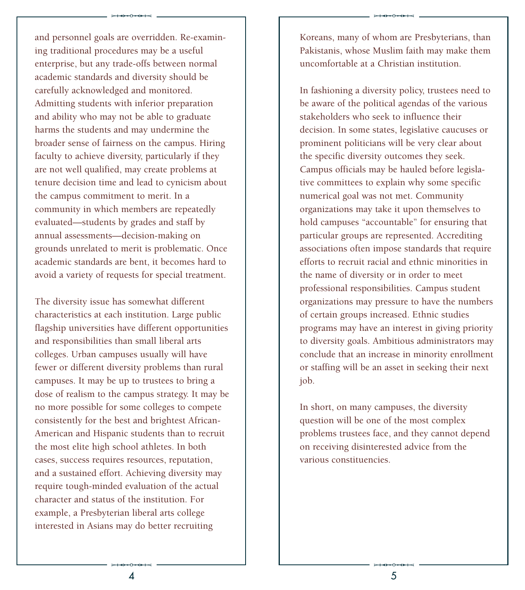and personnel goals are overridden. Re-examining traditional procedures may be a useful enterprise, but any trade-offs between normal academic standards and diversity should be carefully acknowledged and monitored. Admitting students with inferior preparation and ability who may not be able to graduate harms the students and may undermine the broader sense of fairness on the campus. Hiring faculty to achieve diversity, particularly if they are not well qualified, may create problems at tenure decision time and lead to cynicism about the campus commitment to merit. In a community in which members are repeatedly evaluated—students by grades and staff by annual assessments—decision-making on grounds unrelated to merit is problematic. Once academic standards are bent, it becomes hard to avoid a variety of requests for special treatment.

 $*$ 

The diversity issue has somewhat different characteristics at each institution. Large public flagship universities have different opportunities and responsibilities than small liberal arts colleges. Urban campuses usually will have fewer or different diversity problems than rural campuses. It may be up to trustees to bring a dose of realism to the campus strategy. It may be no more possible for some colleges to compete consistently for the best and brightest African-American and Hispanic students than to recruit the most elite high school athletes. In both cases, success requires resources, reputation, and a sustained effort. Achieving diversity may require tough-minded evaluation of the actual character and status of the institution. For example, a Presbyterian liberal arts college interested in Asians may do better recruiting

Koreans, many of whom are Presbyterians, than Pakistanis, whose Muslim faith may make them uncomfortable at a Christian institution.

 $*$ 

In fashioning a diversity policy, trustees need to be aware of the political agendas of the various stakeholders who seek to influence their decision. In some states, legislative caucuses or prominent politicians will be very clear about the specific diversity outcomes they seek. Campus officials may be hauled before legislative committees to explain why some specific numerical goal was not met. Community organizations may take it upon themselves to hold campuses "accountable" for ensuring that particular groups are represented. Accrediting associations often impose standards that require efforts to recruit racial and ethnic minorities in the name of diversity or in order to meet professional responsibilities. Campus student organizations may pressure to have the numbers of certain groups increased. Ethnic studies programs may have an interest in giving priority to diversity goals. Ambitious administrators may conclude that an increase in minority enrollment or staffing will be an asset in seeking their next job.

In short, on many campuses, the diversity question will be one of the most complex problems trustees face, and they cannot depend on receiving disinterested advice from the various constituencies.

 $rac{10+0+0+0+3}{5}$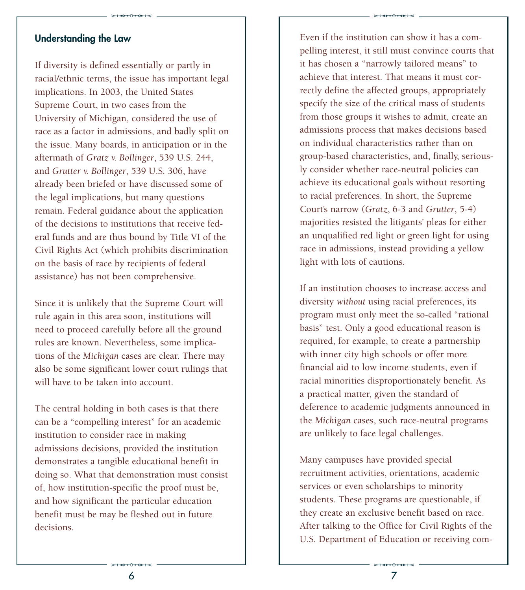#### **Understanding the Law**

If diversity is defined essentially or partly in racial/ethnic terms, the issue has important legal implications. In 2003, the United States Supreme Court, in two cases from the University of Michigan, considered the use of race as a factor in admissions, and badly split on the issue. Many boards, in anticipation or in the aftermath of *Gratz v. Bollinger*, 539 U.S. 244, and *Grutter v. Bollinger*, 539 U.S. 306, have already been briefed or have discussed some of the legal implications, but many questions remain. Federal guidance about the application of the decisions to institutions that receive federal funds and are thus bound by Title VI of the Civil Rights Act (which prohibits discrimination on the basis of race by recipients of federal assistance) has not been comprehensive.

 $*$ 

Since it is unlikely that the Supreme Court will rule again in this area soon, institutions will need to proceed carefully before all the ground rules are known. Nevertheless, some implications of the *Michigan* cases are clear. There may also be some significant lower court rulings that will have to be taken into account.

The central holding in both cases is that there can be a "compelling interest" for an academic institution to consider race in making admissions decisions, provided the institution demonstrates a tangible educational benefit in doing so. What that demonstration must consist of, how institution-specific the proof must be, and how significant the particular education benefit must be may be fleshed out in future decisions.

Even if the institution can show it has a compelling interest, it still must convince courts that it has chosen a "narrowly tailored means" to achieve that interest. That means it must correctly define the affected groups, appropriately specify the size of the critical mass of students from those groups it wishes to admit, create an admissions process that makes decisions based on individual characteristics rather than on group-based characteristics, and, finally, seriously consider whether race-neutral policies can achieve its educational goals without resorting to racial preferences. In short, the Supreme Court's narrow (*Gratz*, 6-3 and *Grutter*, 5-4) majorities resisted the litigants' pleas for either an unqualified red light or green light for using race in admissions, instead providing a yellow light with lots of cautions.

 $*$ 

If an institution chooses to increase access and diversity *without* using racial preferences, its program must only meet the so-called "rational basis" test. Only a good educational reason is required, for example, to create a partnership with inner city high schools or offer more financial aid to low income students, even if racial minorities disproportionately benefit. As a practical matter, given the standard of deference to academic judgments announced in the *Michigan* cases, such race-neutral programs are unlikely to face legal challenges.

q U.S. Department of Education or receiving com-Many campuses have provided special recruitment activities, orientations, academic services or even scholarships to minority students. These programs are questionable, if they create an exclusive benefit based on race. After talking to the Office for Civil Rights of the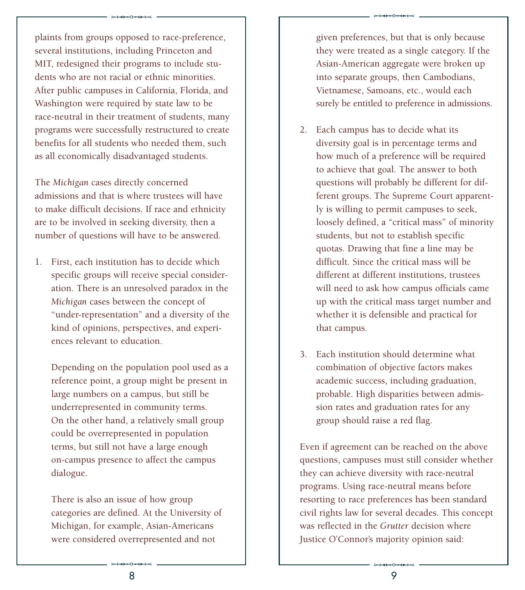plaints from groups opposed to race-preference, several institutions, including Princeton and MIT, redesigned their programs to include students who are not racial or ethnic minorities. After public campuses in California, Florida, and Washington were required by state law to be race-neutral in their treatment of students, many programs were successfully restructured to create benefits for all students who needed them, such as all economically disadvantaged students.

 $\begin{picture}(180,10)(0,0) \put(0,0){\vector(1,0){100}} \put(10,0){\vector(1,0){100}} \put(10,0){\vector(1,0){100}} \put(10,0){\vector(1,0){100}} \put(10,0){\vector(1,0){100}} \put(10,0){\vector(1,0){100}} \put(10,0){\vector(1,0){100}} \put(10,0){\vector(1,0){100}} \put(10,0){\vector(1,0){100}} \put(10,0){\vector(1,0){100}} \put(10,0){\vector(1,0){$ 

The *Michigan* cases directly concerned admissions and that is where trustees will have to make difficult decisions. If race and ethnicity are to be involved in seeking diversity, then a number of questions will have to be answered.

1. First, each institution has to decide which specific groups will receive special consideration. There is an unresolved paradox in the *Michigan* cases between the concept of "under-representation" and a diversity of the kind of opinions, perspectives, and experiences relevant to education.

Depending on the population pool used as a reference point, a group might be present in large numbers on a campus, but still be underrepresented in community terms. On the other hand, a relatively small group could be overrepresented in population terms, but still not have a large enough on-campus presence to affect the campus dialogue.

were considered overrepresented and not<br>  $\begin{array}{r} \hline \text{...} \\ \hline \text{...} \\ \text{...} \end{array}$ There is also an issue of how group categories are defined. At the University of Michigan, for example, Asian-Americans

given preferences, but that is only because they were treated as a single category. If the Asian-American aggregate were broken up into separate groups, then Cambodians, Vietnamese, Samoans, etc., would each surely be entitled to preference in admissions.

- 2. Each campus has to decide what its diversity goal is in percentage terms and how much of a preference will be required to achieve that goal. The answer to both questions will probably be different for different groups. The Supreme Court apparently is willing to permit campuses to seek, loosely defined, a "critical mass" of minority students, but not to establish specific quotas. Drawing that fine a line may be difficult. Since the critical mass will be different at different institutions, trustees will need to ask how campus officials came up with the critical mass target number and whether it is defensible and practical for that campus.
- 3. Each institution should determine what combination of objective factors makes academic success, including graduation, probable. High disparities between admission rates and graduation rates for any group should raise a red flag.

Justice O'Connor's majority opinion said:<br>
Alternative opinion said:<br>  $\frac{9}{2}$ Even if agreement can be reached on the above questions, campuses must still consider whether they can achieve diversity with race-neutral programs. Using race-neutral means before resorting to race preferences has been standard civil rights law for several decades. This concept was reflected in the *Grutter* decision where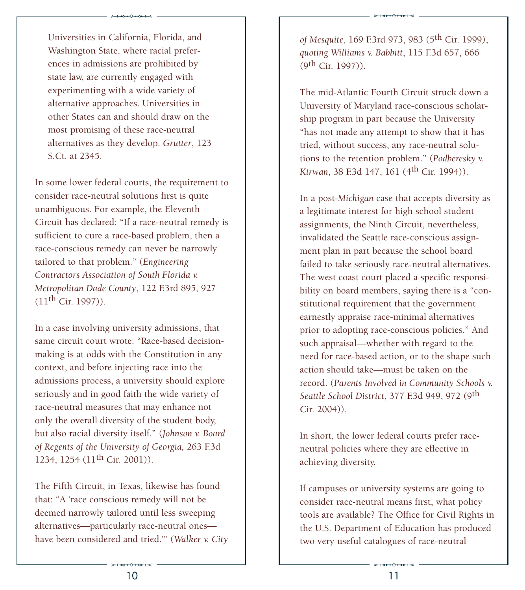Universities in California, Florida, and Washington State, where racial preferences in admissions are prohibited by state law, are currently engaged with experimenting with a wide variety of alternative approaches. Universities in other States can and should draw on the most promising of these race-neutral alternatives as they develop. *Grutter*, 123 S.Ct. at 2345.

 $*$ 

In some lower federal courts, the requirement to consider race-neutral solutions first is quite unambiguous. For example, the Eleventh Circuit has declared: "If a race-neutral remedy is sufficient to cure a race-based problem, then a race-conscious remedy can never be narrowly tailored to that problem." (*Engineering Contractors Association of South Florida v. Metropolitan Dade County*, 122 F.3rd 895, 927  $(11<sup>th</sup> Cir. 1997)$ .

In a case involving university admissions, that same circuit court wrote: "Race-based decisionmaking is at odds with the Constitution in any context, and before injecting race into the admissions process, a university should explore seriously and in good faith the wide variety of race-neutral measures that may enhance not only the overall diversity of the student body, but also racial diversity itself." (*Johnson v. Board of Regents of the University of Georgia,* 263 F.3d 1234, 1254 (11<sup>th</sup> Cir. 2001)).

have been considered and tried.'" (*Walker v. City*<br>  $\begin{array}{r} \longrightarrow \end{array}$  10 The Fifth Circuit, in Texas, likewise has found that: "A 'race conscious remedy will not be deemed narrowly tailored until less sweeping alternatives—particularly race-neutral ones*of Mesquite*, 169 F.3rd 973, 983 (5th Cir. 1999), *quoting Williams v. Babbitt*, 115 F.3d 657, 666  $(9<sup>th</sup> Cir. 1997)$ ).

 $*$ 

The mid-Atlantic Fourth Circuit struck down a University of Maryland race-conscious scholarship program in part because the University "has not made any attempt to show that it has tried, without success, any race-neutral solutions to the retention problem." (*Podberesky v. Kirwan*, 38 F.3d 147, 161 (4<sup>th</sup> Cir. 1994)).

In a post-*Michigan* case that accepts diversity as a legitimate interest for high school student assignments, the Ninth Circuit, nevertheless, invalidated the Seattle race-conscious assignment plan in part because the school board failed to take seriously race-neutral alternatives. The west coast court placed a specific responsibility on board members, saying there is a "constitutional requirement that the government earnestly appraise race-minimal alternatives prior to adopting race-conscious policies." And such appraisal—whether with regard to the need for race-based action, or to the shape such action should take—must be taken on the record. (*Parents Involved in Community Schools v. Seattle School District*, 377 F.3d 949, 972 (9th Cir. 2004)).

In short, the lower federal courts prefer raceneutral policies where they are effective in achieving diversity.

two very useful catalogues of race-neutral<br>  $\overline{\phantom{a}}$   $\overline{\phantom{a}}$   $\overline{\phantom{a}}$   $\overline{\phantom{a}}$   $\overline{\phantom{a}}$   $\overline{\phantom{a}}$   $\overline{\phantom{a}}$   $\overline{\phantom{a}}$   $\overline{\phantom{a}}$   $\overline{\phantom{a}}$   $\overline{\phantom{a}}$   $\overline{\phantom{a}}$   $\overline{\phantom{a}}$   $\overline{\phantom{a}}$   $\overline{\phantom{a}}$ If campuses or university systems are going to consider race-neutral means first, what policy tools are available? The Office for Civil Rights in the U.S. Department of Education has produced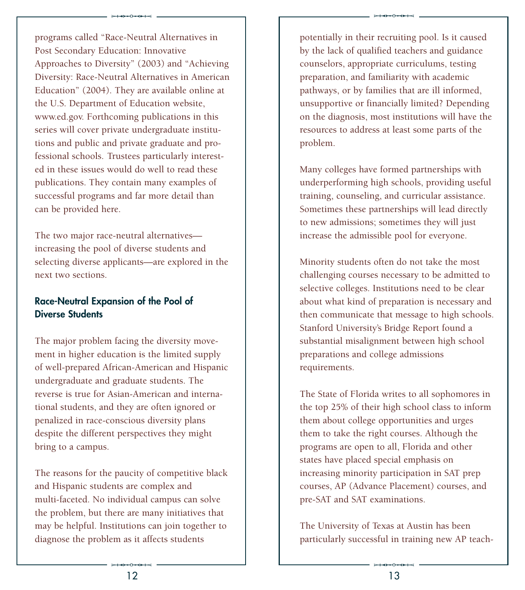$*$ programs called "Race-Neutral Alternatives in Post Secondary Education: Innovative Approaches to Diversity" (2003) and "Achieving Diversity: Race-Neutral Alternatives in American Education" (2004). They are available online at the U.S. Department of Education website, www.ed.gov. Forthcoming publications in this series will cover private undergraduate institutions and public and private graduate and professional schools. Trustees particularly interested in these issues would do well to read these publications. They contain many examples of successful programs and far more detail than can be provided here.

The two major race-neutral alternatives increasing the pool of diverse students and selecting diverse applicants—are explored in the next two sections.

# **Race-Neutral Expansion of the Pool of Diverse Students**

The major problem facing the diversity movement in higher education is the limited supply of well-prepared African-American and Hispanic undergraduate and graduate students. The reverse is true for Asian-American and international students, and they are often ignored or penalized in race-conscious diversity plans despite the different perspectives they might bring to a campus.

diagnose the problem as it affects students<br>  $\begin{array}{ccc}\n & & \\
 \hline\n & & \\
 & & \\
\hline\n & 12\n\end{array}$ The reasons for the paucity of competitive black and Hispanic students are complex and multi-faceted. No individual campus can solve the problem, but there are many initiatives that may be helpful. Institutions can join together to

potentially in their recruiting pool. Is it caused by the lack of qualified teachers and guidance counselors, appropriate curriculums, testing preparation, and familiarity with academic pathways, or by families that are ill informed, unsupportive or financially limited? Depending on the diagnosis, most institutions will have the resources to address at least some parts of the problem.

 $*$ 

Many colleges have formed partnerships with underperforming high schools, providing useful training, counseling, and curricular assistance. Sometimes these partnerships will lead directly to new admissions; sometimes they will just increase the admissible pool for everyone.

Minority students often do not take the most challenging courses necessary to be admitted to selective colleges. Institutions need to be clear about what kind of preparation is necessary and then communicate that message to high schools. Stanford University's Bridge Report found a substantial misalignment between high school preparations and college admissions requirements.

The State of Florida writes to all sophomores in the top 25% of their high school class to inform them about college opportunities and urges them to take the right courses. Although the programs are open to all, Florida and other states have placed special emphasis on increasing minority participation in SAT prep courses, AP (Advance Placement) courses, and pre-SAT and SAT examinations.

particularly successful in training new AP teach-<br>  $\begin{array}{r} \hline \text{...} \\ \hline \text{...} \\ \text{...} \end{array}$ The University of Texas at Austin has been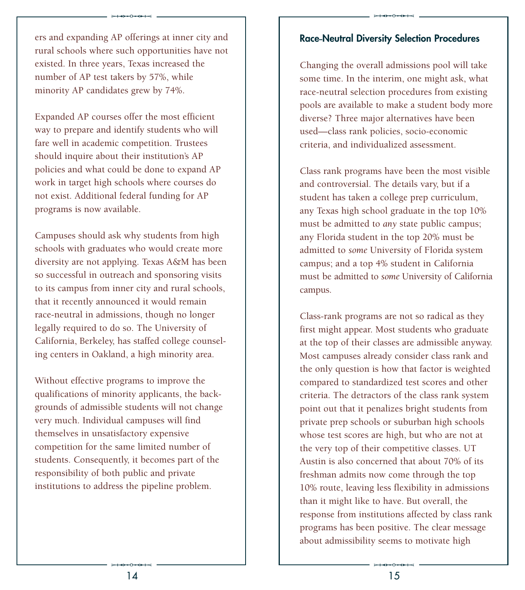ers and expanding AP offerings at inner city and rural schools where such opportunities have not existed. In three years, Texas increased the number of AP test takers by 57%, while minority AP candidates grew by 74%.

 $*$ 

Expanded AP courses offer the most efficient way to prepare and identify students who will fare well in academic competition. Trustees should inquire about their institution's AP policies and what could be done to expand AP work in target high schools where courses do not exist. Additional federal funding for AP programs is now available.

Campuses should ask why students from high schools with graduates who would create more diversity are not applying. Texas A&M has been so successful in outreach and sponsoring visits to its campus from inner city and rural schools, that it recently announced it would remain race-neutral in admissions, though no longer legally required to do so. The University of California, Berkeley, has staffed college counseling centers in Oakland, a high minority area.

Without effective programs to improve the qualifications of minority applicants, the backgrounds of admissible students will not change very much. Individual campuses will find themselves in unsatisfactory expensive competition for the same limited number of students. Consequently, it becomes part of the responsibility of both public and private institutions to address the pipeline problem.

#### **Race Neutral Diversity Selection Procedures**

 $*$ 

Changing the overall admissions pool will take some time. In the interim, one might ask, what race-neutral selection procedures from existing pools are available to make a student body more diverse? Three major alternatives have been used—class rank policies, socio-economic criteria, and individualized assessment.

Class rank programs have been the most visible and controversial. The details vary, but if a student has taken a college prep curriculum, any Texas high school graduate in the top 10% must be admitted to *any* state public campus; any Florida student in the top 20% must be admitted to *some* University of Florida system campus; and a top 4% student in California must be admitted to *some* University of California campus.

about admissibility seems to motivate high<br>  $\overbrace{ }$   $\overbrace{ }$   $\overbrace{ }$   $\overbrace{ }$   $\overbrace{ }$ Class-rank programs are not so radical as they first might appear. Most students who graduate at the top of their classes are admissible anyway. Most campuses already consider class rank and the only question is how that factor is weighted compared to standardized test scores and other criteria. The detractors of the class rank system point out that it penalizes bright students from private prep schools or suburban high schools whose test scores are high, but who are not at the very top of their competitive classes. UT Austin is also concerned that about 70% of its freshman admits now come through the top 10% route, leaving less flexibility in admissions than it might like to have. But overall, the response from institutions affected by class rank programs has been positive. The clear message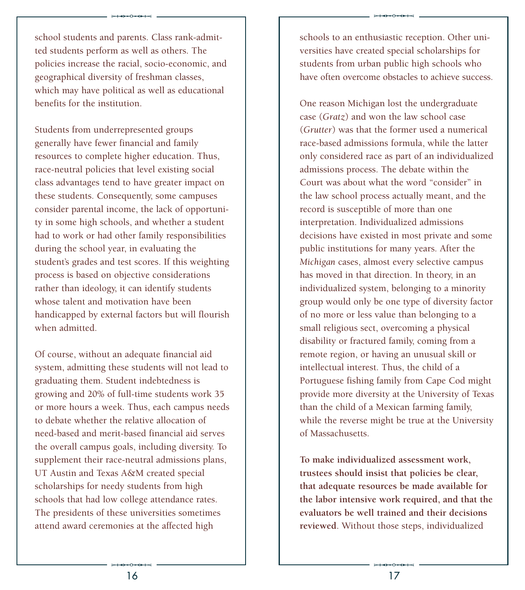$*$ 

Students from underrepresented groups generally have fewer financial and family resources to complete higher education. Thus, race-neutral policies that level existing social class advantages tend to have greater impact on these students. Consequently, some campuses consider parental income, the lack of opportunity in some high schools, and whether a student had to work or had other family responsibilities during the school year, in evaluating the student's grades and test scores. If this weighting process is based on objective considerations rather than ideology, it can identify students whose talent and motivation have been handicapped by external factors but will flourish when admitted.

Of course, without an adequate financial aid system, admitting these students will not lead to graduating them. Student indebtedness is growing and 20% of full-time students work 35 or more hours a week. Thus, each campus needs to debate whether the relative allocation of need-based and merit-based financial aid serves the overall campus goals, including diversity. To supplement their race-neutral admissions plans, UT Austin and Texas A&M created special scholarships for needy students from high schools that had low college attendance rates. The presidents of these universities sometimes attend award ceremonies at the affected high

schools to an enthusiastic reception. Other universities have created special scholarships for students from urban public high schools who have often overcome obstacles to achieve success.

 $*$ 

One reason Michigan lost the undergraduate case (*Gratz*) and won the law school case (*Grutter*) was that the former used a numerical race-based admissions formula, while the latter only considered race as part of an individualized admissions process. The debate within the Court was about what the word "consider" in the law school process actually meant, and the record is susceptible of more than one interpretation. Individualized admissions decisions have existed in most private and some public institutions for many years. After the *Michigan* cases, almost every selective campus has moved in that direction. In theory, in an individualized system, belonging to a minority group would only be one type of diversity factor of no more or less value than belonging to a small religious sect, overcoming a physical disability or fractured family, coming from a remote region, or having an unusual skill or intellectual interest. Thus, the child of a Portuguese fishing family from Cape Cod might provide more diversity at the University of Texas than the child of a Mexican farming family, while the reverse might be true at the University of Massachusetts.

**To make individualized assessment work, trustees should insist that policies be clear, that adequate resources be made available for the labor intensive work required, and that the evaluators be well trained and their decisions reviewed**. Without those steps, individualized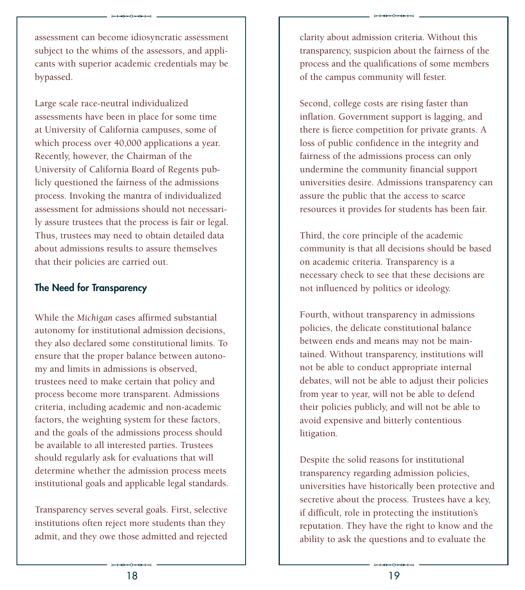$*$ 

Large scale race-neutral individualized assessments have been in place for some time at University of California campuses, some of which process over 40,000 applications a year. Recently, however, the Chairman of the University of California Board of Regents publicly questioned the fairness of the admissions process. Invoking the mantra of individualized assessment for admissions should not necessarily assure trustees that the process is fair or legal. Thus, trustees may need to obtain detailed data about admissions results to assure themselves that their policies are carried out.

### **The Need for Transparency**

While the *Michigan* cases affirmed substantial autonomy for institutional admission decisions, they also declared some constitutional limits. To ensure that the proper balance between autonomy and limits in admissions is observed, trustees need to make certain that policy and process become more transparent. Admissions criteria, including academic and non-academic factors, the weighting system for these factors, and the goals of the admissions process should be available to all interested parties. Trustees should regularly ask for evaluations that will determine whether the admission process meets institutional goals and applicable legal standards.

Transparency serves several goals. First, selective institutions often reject more students than they admit, and they owe those admitted and rejected clarity about admission criteria. Without this transparency, suspicion about the fairness of the process and the qualifications of some members of the campus community will fester.

 $*$ 

Second, college costs are rising faster than inflation. Government support is lagging, and there is fierce competition for private grants. A loss of public confidence in the integrity and fairness of the admissions process can only undermine the community financial support universities desire. Admissions transparency can assure the public that the access to scarce resources it provides for students has been fair.

Third, the core principle of the academic community is that all decisions should be based on academic criteria. Transparency is a necessary check to see that these decisions are not influenced by politics or ideology.

Fourth, without transparency in admissions policies, the delicate constitutional balance between ends and means may not be maintained. Without transparency, institutions will not be able to conduct appropriate internal debates, will not be able to adjust their policies from year to year, will not be able to defend their policies publicly, and will not be able to avoid expensive and bitterly contentious litigation.

ability to ask the questions and to evaluate the<br>  $\frac{19}{19}$ Despite the solid reasons for institutional transparency regarding admission policies, universities have historically been protective and secretive about the process. Trustees have a key, if difficult, role in protecting the institution's reputation. They have the right to know and the